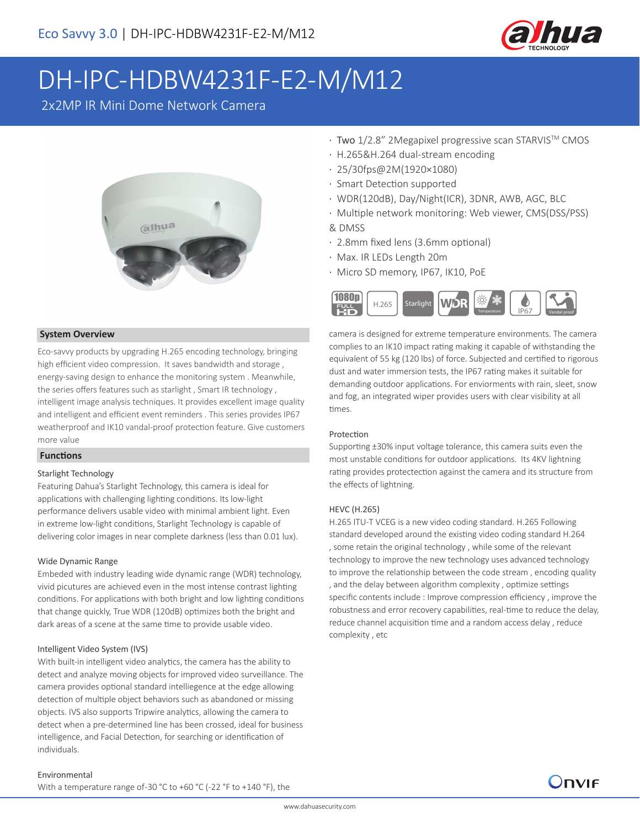

# DH-IPC-HDBW4231F-E2-M/M12

2x2MP IR Mini Dome Network Camera



### **System Overview**

Eco-savvy products by upgrading H.265 encoding technology, bringing high efficient video compression. It saves bandwidth and storage , energy-saving design to enhance the monitoring system . Meanwhile, the series offers features such as starlight , Smart IR technology , intelligent image analysis techniques. It provides excellent image quality and intelligent and efficient event reminders . This series provides IP67 weatherproof and IK10 vandal-proof protection feature. Give customers more value

### **Functions**

### Starlight Technology

Featuring Dahua's Starlight Technology, this camera is ideal for applications with challenging lighting conditions. Its low-light performance delivers usable video with minimal ambient light. Even in extreme low-light conditions, Starlight Technology is capable of delivering color images in near complete darkness (less than 0.01 lux).

### Wide Dynamic Range

Embeded with industry leading wide dynamic range (WDR) technology, vivid picutures are achieved even in the most intense contrast lighting conditions. For applications with both bright and low lighting conditions that change quickly, True WDR (120dB) optimizes both the bright and dark areas of a scene at the same time to provide usable video.

### Intelligent Video System (IVS)

With built-in intelligent video analytics, the camera has the ability to detect and analyze moving objects for improved video surveillance. The camera provides optional standard intelliegence at the edge allowing detection of multiple object behaviors such as abandoned or missing objects. IVS also supports Tripwire analytics, allowing the camera to detect when a pre-determined line has been crossed, ideal for business intelligence, and Facial Detection, for searching or identification of individuals.

#### Environmental

With a temperature range of -30 °C to +60 °C (-22 °F to +140 °F), the

- · Two 1/2.8" 2Megapixel progressive scan STARVISTM CMOS
- · H.265&H.264 dual-stream encoding
- · 25/30fps@2M(1920×1080)
- · Smart Detection supported
- · WDR(120dB), Day/Night(ICR), 3DNR, AWB, AGC, BLC
- · Multiple network monitoring: Web viewer, CMS(DSS/PSS) & DMSS
- · 2.8mm fixed lens (3.6mm optional)
- · Max. IR LEDs Length 20m
- · Micro SD memory, IP67, IK10, PoE



camera is designed for extreme temperature environments. The camera complies to an IK10 impact rating making it capable of withstanding the equivalent of 55 kg (120 lbs) of force. Subjected and certified to rigorous dust and water immersion tests, the IP67 rating makes it suitable for demanding outdoor applications. For enviorments with rain, sleet, snow and fog, an integrated wiper provides users with clear visibility at all times.

### Protection

Supporting ±30% input voltage tolerance, this camera suits even the most unstable conditions for outdoor applications. Its 4KV lightning rating provides protectection against the camera and its structure from the effects of lightning.

#### HEVC (H.265)

H.265 ITU-T VCEG is a new video coding standard. H.265 Following standard developed around the existing video coding standard H.264 , some retain the original technology , while some of the relevant technology to improve the new technology uses advanced technology to improve the relationship between the code stream , encoding quality , and the delay between algorithm complexity , optimize settings specific contents include : Improve compression efficiency , improve the robustness and error recovery capabilities, real-time to reduce the delay, reduce channel acquisition time and a random access delay , reduce complexity , etc

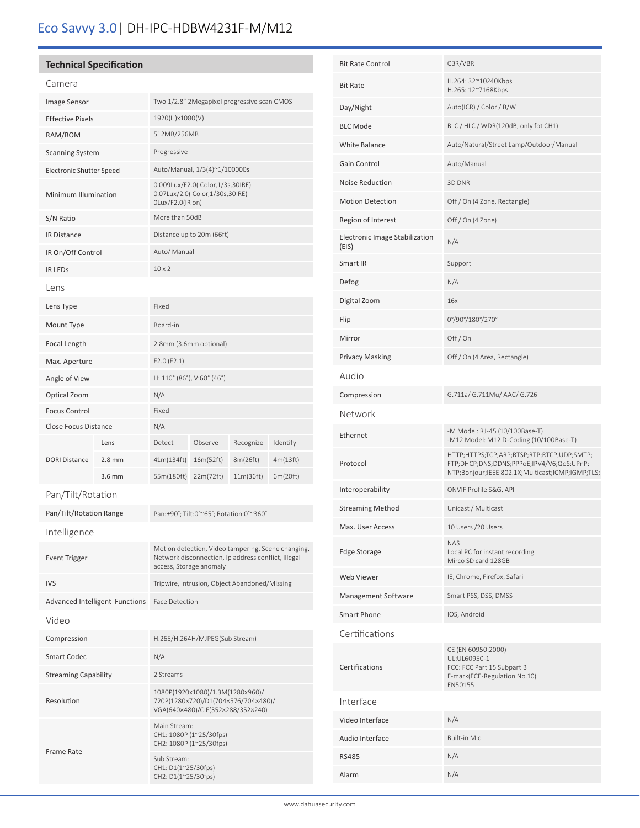# Eco Savvy 3.0| DH-IPC-HDBW4231F-M/M12

### **Technical Specification**

| Camera                          |          |                                                                                                                                      |           |           |          |  |
|---------------------------------|----------|--------------------------------------------------------------------------------------------------------------------------------------|-----------|-----------|----------|--|
| Image Sensor                    |          | Two 1/2.8" 2Megapixel progressive scan CMOS                                                                                          |           |           |          |  |
| <b>Effective Pixels</b>         |          | 1920(H)x1080(V)                                                                                                                      |           |           |          |  |
| RAM/ROM                         |          | 512MB/256MB                                                                                                                          |           |           |          |  |
| <b>Scanning System</b>          |          | Progressive                                                                                                                          |           |           |          |  |
| <b>Electronic Shutter Speed</b> |          | Auto/Manual, 1/3(4)~1/100000s                                                                                                        |           |           |          |  |
| Minimum Illumination            |          | 0.009Lux/F2.0( Color, 1/3s, 30IRE)<br>0.07Lux/2.0( Color,1/30s,30IRE)<br>OLux/F2.0(IR on)                                            |           |           |          |  |
| S/N Ratio                       |          | More than 50dB                                                                                                                       |           |           |          |  |
| <b>IR Distance</b>              |          | Distance up to 20m (66ft)                                                                                                            |           |           |          |  |
| IR On/Off Control               |          | Auto/ Manual                                                                                                                         |           |           |          |  |
| <b>IR LEDS</b>                  |          | $10 \times 2$                                                                                                                        |           |           |          |  |
| Lens                            |          |                                                                                                                                      |           |           |          |  |
| Lens Type                       |          | Fixed                                                                                                                                |           |           |          |  |
| Mount Type                      |          | Board-in                                                                                                                             |           |           |          |  |
| Focal Length                    |          | 2.8mm (3.6mm optional)                                                                                                               |           |           |          |  |
| Max. Aperture                   |          | F2.0(F2.1)                                                                                                                           |           |           |          |  |
| Angle of View                   |          | H: 110° (86°), V:60° (46°)                                                                                                           |           |           |          |  |
| Optical Zoom                    |          | N/A                                                                                                                                  |           |           |          |  |
| <b>Focus Control</b>            |          | Fixed                                                                                                                                |           |           |          |  |
| Close Focus Distance            |          | N/A                                                                                                                                  |           |           |          |  |
|                                 | Lens     | Detect                                                                                                                               | Observe   | Recognize | Identify |  |
| <b>DORI Distance</b>            | $2.8$ mm | 41m(134ft)                                                                                                                           | 16m(52ft) | 8m(26ft)  | 4m(13ft) |  |
|                                 | $3.6$ mm | 55m(180ft)                                                                                                                           | 22m(72ft) | 11m(36ft) | 6m(20ft) |  |
| Pan/Tilt/Rotation               |          |                                                                                                                                      |           |           |          |  |
| Pan/Tilt/Rotation Range         |          | Pan:±90°; Tilt:0°~65°; Rotation:0°~360°                                                                                              |           |           |          |  |
| Intelligence                    |          |                                                                                                                                      |           |           |          |  |
| <b>Event Trigger</b>            |          | Motion detection, Video tampering, Scene changing,<br>Network disconnection, Ip address conflict, Illegal<br>access, Storage anomaly |           |           |          |  |
| <b>IVS</b>                      |          | Tripwire, Intrusion, Object Abandoned/Missing                                                                                        |           |           |          |  |
| Advanced Intelligent Functions  |          | <b>Face Detection</b>                                                                                                                |           |           |          |  |
| Video                           |          |                                                                                                                                      |           |           |          |  |
| Compression                     |          | H.265/H.264H/MJPEG(Sub Stream)                                                                                                       |           |           |          |  |
| <b>Smart Codec</b>              |          | N/A                                                                                                                                  |           |           |          |  |
| <b>Streaming Capability</b>     |          | 2 Streams                                                                                                                            |           |           |          |  |
| Resolution                      |          | 1080P(1920x1080)/1.3M(1280x960)/<br>720P(1280×720)/D1(704×576/704×480)/<br>VGA(640×480)/CIF(352×288/352×240)                         |           |           |          |  |
| Frame Rate                      |          | Main Stream:<br>CH1: 1080P (1~25/30fps)<br>CH2: 1080P (1~25/30fps)                                                                   |           |           |          |  |
|                                 |          | Sub Stream:<br>CH1: D1(1~25/30fps)<br>CH2: D1(1~25/30fps)                                                                            |           |           |          |  |

| <b>Bit Rate Control</b>                 | CBR/VBR                                                                                                                                     |
|-----------------------------------------|---------------------------------------------------------------------------------------------------------------------------------------------|
| <b>Bit Rate</b>                         | H.264: 32~10240Kbps<br>H.265: 12~7168Kbps                                                                                                   |
| Day/Night                               | Auto(ICR) / Color / B/W                                                                                                                     |
| <b>BLC Mode</b>                         | BLC / HLC / WDR(120dB, only fot CH1)                                                                                                        |
| <b>White Balance</b>                    | Auto/Natural/Street Lamp/Outdoor/Manual                                                                                                     |
| Gain Control                            | Auto/Manual                                                                                                                                 |
| Noise Reduction                         | 3D DNR                                                                                                                                      |
| <b>Motion Detection</b>                 | Off / On (4 Zone, Rectangle)                                                                                                                |
| Region of Interest                      | Off / On (4 Zone)                                                                                                                           |
| Electronic Image Stabilization<br>(EIS) | N/A                                                                                                                                         |
| Smart IR                                | Support                                                                                                                                     |
| Defog                                   | N/A                                                                                                                                         |
| Digital Zoom                            | 16x                                                                                                                                         |
| Flip                                    | 0°/90°/180°/270°                                                                                                                            |
| Mirror                                  | Off/On                                                                                                                                      |
| <b>Privacy Masking</b>                  | Off / On (4 Area, Rectangle)                                                                                                                |
| Audio                                   |                                                                                                                                             |
| Compression                             | G.711a/ G.711Mu/ AAC/ G.726                                                                                                                 |
| Network                                 |                                                                                                                                             |
| Ethernet                                | -M Model: RJ-45 (10/100Base-T)<br>-M12 Model: M12 D-Coding (10/100Base-T)                                                                   |
| Protocol                                | HTTP;HTTPS;TCP;ARP;RTSP;RTP;RTCP;UDP;SMTP;<br>FTP;DHCP;DNS;DDNS;PPPoE;IPV4/V6;QoS;UPnP;<br>NTP;Bonjour;IEEE 802.1X;Multicast;ICMP;IGMP;TLS; |
| Interoperability                        | ONVIF Profile S&G, API                                                                                                                      |
| <b>Streaming Method</b>                 | Unicast / Multicast                                                                                                                         |
| Max. User Access                        | 10 Users / 20 Users                                                                                                                         |
| <b>Edge Storage</b>                     | <b>NAS</b><br>Local PC for instant recording<br>Mirco SD card 128GB                                                                         |
| Web Viewer                              | IE, Chrome, Firefox, Safari                                                                                                                 |
| Management Software                     | Smart PSS, DSS, DMSS                                                                                                                        |
| <b>Smart Phone</b>                      | IOS, Android                                                                                                                                |
| Certifications                          |                                                                                                                                             |
| Certifications                          | CE (EN 60950:2000)<br>UL:UL60950-1<br>FCC: FCC Part 15 Subpart B<br>E-mark(ECE-Regulation No.10)<br>EN50155                                 |
| Interface                               |                                                                                                                                             |
| Video Interface                         | N/A                                                                                                                                         |
| Audio Interface                         | Built-in Mic                                                                                                                                |
| <b>RS485</b>                            | N/A                                                                                                                                         |
| Alarm                                   | N/A                                                                                                                                         |